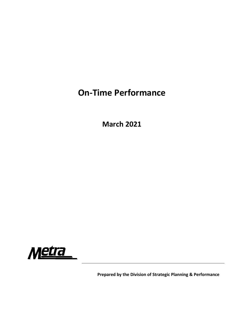## **On‐Time Performance**

**March 2021**



**Prepared by the Division of Strategic Planning & Performance**